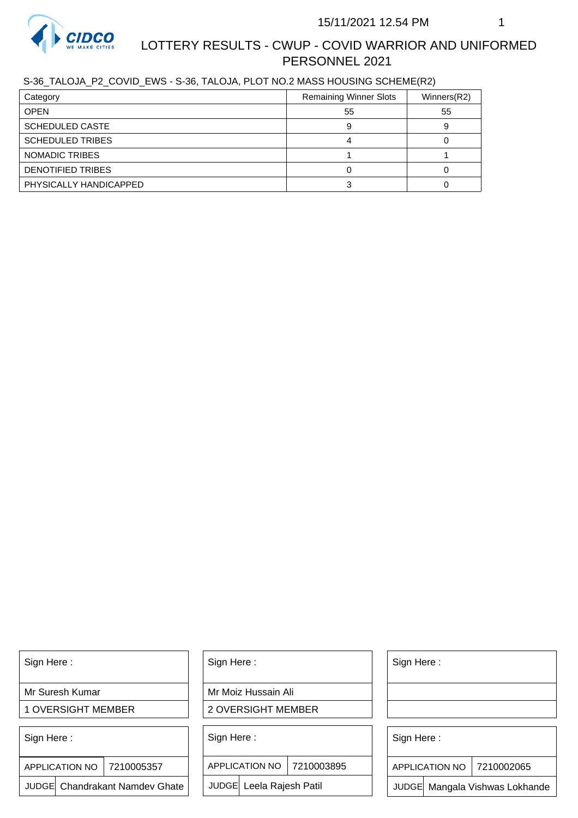

# LOTTERY RESULTS - CWUP - COVID WARRIOR AND UNIFORMED PERSONNEL 2021

S-36\_TALOJA\_P2\_COVID\_EWS - S-36, TALOJA, PLOT NO.2 MASS HOUSING SCHEME(R2)

| Category                 | <b>Remaining Winner Slots</b> | Winners(R2) |
|--------------------------|-------------------------------|-------------|
| <b>OPEN</b>              | 55                            | 55          |
| <b>SCHEDULED CASTE</b>   |                               |             |
| <b>SCHEDULED TRIBES</b>  |                               |             |
| NOMADIC TRIBES           |                               |             |
| <b>DENOTIFIED TRIBES</b> |                               |             |
| PHYSICALLY HANDICAPPED   |                               |             |

Sign Here :

Mr Suresh Kumar

1 OVERSIGHT MEMBER

Sign Here :

7210005357 APPLICATION NO

JUDGE Chandrakant Namdev Ghate

Sign Here :

Mr Moiz Hussain Ali

2 OVERSIGHT MEMBER

Sign Here :

APPLICATION NO 7210003895

JUDGE Leela Rajesh Patil

Sign Here :

Sign Here :

APPLICATION NO | 7210002065

Chandrakant Namdev Ghate  $|\quad|$  JUDGE Leela Rajesh Patil  $|\quad|$  JUDGE Mangala Vishwas Lokhande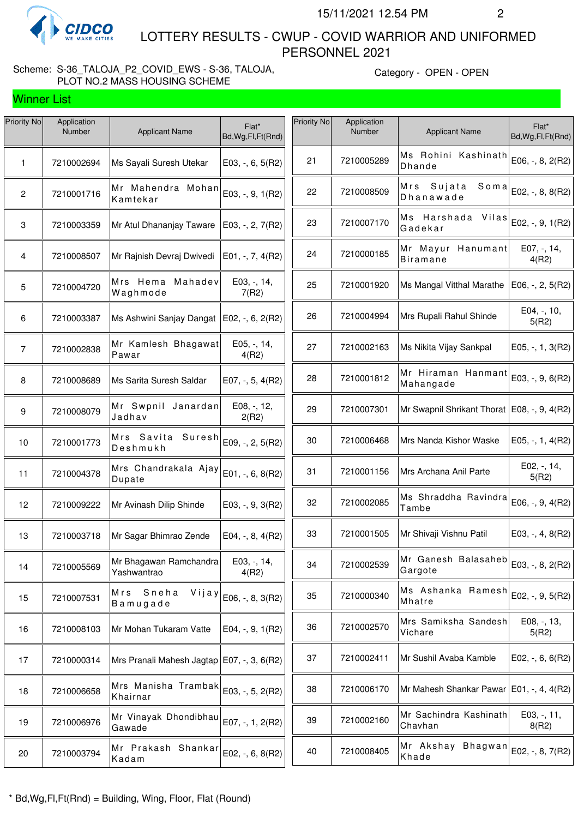

Winner List

 LOTTERY RESULTS - CWUP - COVID WARRIOR AND UNIFORMED PERSONNEL 2021

# Scheme: S-36\_TALOJA\_P2\_COVID\_EWS - S-36, TALOJA, PLOT NO.2 MASS HOUSING SCHEME

Category - OPEN - OPEN

| Priority No     | Application<br>Number | <b>Applicant Name</b>                        | Flat*<br>Bd, Wg, Fl, Ft (Rnd) | Priority No | Application<br>Number | <b>Applicant Name</b>                             | Flat*<br>Bd, Wg, Fl, Ft (Rnd) |
|-----------------|-----------------------|----------------------------------------------|-------------------------------|-------------|-----------------------|---------------------------------------------------|-------------------------------|
| 1               | 7210002694            | Ms Sayali Suresh Utekar                      | E03, $-$ , 6, 5(R2)           | 21          | 7210005289            | Ms Rohini Kashinath<br><b>Dhande</b>              | E06, -, 8, 2(R2)              |
| $\mathbf{2}$    | 7210001716            | Mr Mahendra Mohan<br>Kamtekar                | E03, -, 9, 1(R2)              | 22          | 7210008509            | Mrs Sujata<br>Soma<br>Dhanawade                   | E02, -, 8, 8(R2)              |
| 3               | 7210003359            | Mr Atul Dhananjay Taware                     | E03, $-$ , 2, $7(R2)$         | 23          | 7210007170            | Ms Harshada Vilas $ E02, -, 9, 1(R2) $<br>Gadekar |                               |
| 4               | 7210008507            | Mr Rajnish Devraj Dwivedi                    | E01, $-$ , $7$ , $4(R2)$      | 24          | 7210000185            | Mr Mayur Hanumant<br><b>Biramane</b>              | E07, -, 14,<br>4(R2)          |
| $5\phantom{.0}$ | 7210004720            | Mrs Hema Mahadev<br>Waghmode                 | $E03, -14,$<br>7(R2)          | 25          | 7210001920            | Ms Mangal Vitthal Marathe                         | E06, -, 2, 5(R2)              |
| 6               | 7210003387            | Ms Ashwini Sanjay Dangat   E02, -, 6, 2(R2)  |                               | 26          | 7210004994            | Mrs Rupali Rahul Shinde                           | $E04, -110,$<br>5(R2)         |
| $\overline{7}$  | 7210002838            | Mr Kamlesh Bhagawat<br>Pawar                 | E05, -, 14,<br>4(R2)          | 27          | 7210002163            | Ms Nikita Vijay Sankpal                           | $E05, -1, 3(R2)$              |
| 8               | 7210008689            | Ms Sarita Suresh Saldar                      | E07, $-$ , 5, 4(R2)           | 28          | 7210001812            | Mr Hiraman Hanmant<br>Mahangade                   | E03, -, 9, 6(R2)              |
| 9               | 7210008079            | Mr Swpnil Janardan<br>Jadhav                 | E08, -, 12,<br>2(R2)          | 29          | 7210007301            | Mr Swapnil Shrikant Thorat   E08, -, 9, 4(R2)     |                               |
| 10              | 7210001773            | Mrs Savita Suresh<br>Deshmukh                | E09, -, 2, 5(R2)              | 30          | 7210006468            | Mrs Nanda Kishor Waske                            | E05, $-$ , 1, 4(R2)           |
| 11              | 7210004378            | Mrs Chandrakala Ajay<br>Dupate               | E01, -, 6, 8(R2)              | 31          | 7210001156            | Mrs Archana Anil Parte                            | E02, -, 14,<br>5(R2)          |
| 12              | 7210009222            | Mr Avinash Dilip Shinde                      | $E03, -, 9, 3(R2)$            | 32          | 7210002085            | Ms Shraddha Ravindra<br>Tambe                     | E06, -, 9, 4(R2)              |
| 13              | 7210003718            | Mr Sagar Bhimrao Zende                       | E04, $-$ , 8, 4(R2)           | 33          | 7210001505            | Mr Shivaji Vishnu Patil                           | E03, $-$ , $4$ , $8(R2)$      |
| 14              | 7210005569            | Mr Bhagawan Ramchandra<br>Yashwantrao        | $E03, -14,$<br>4(R2)          | 34          | 7210002539            | Mr Ganesh Balasaheb<br>Gargote                    | E03, -, 8, 2(R2)              |
| 15              | 7210007531            | Mrs<br>Sneha<br>Vijay<br>Bamugade            | E06, -, 8, 3(R2)              | 35          | 7210000340            | Ms Ashanka Ramesh<br>Mhatre                       | E02, -, 9, 5(R2)              |
| 16              | 7210008103            | Mr Mohan Tukaram Vatte                       | $E04, -, 9, 1(R2)$            | 36          | 7210002570            | Mrs Samiksha Sandesh<br>Vichare                   | E08, -, 13,<br>5(R2)          |
| 17              | 7210000314            | Mrs Pranali Mahesh Jagtap   E07, -, 3, 6(R2) |                               | 37          | 7210002411            | Mr Sushil Avaba Kamble                            | E02, $-$ , 6, 6(R2)           |
| 18              | 7210006658            | Mrs Manisha Trambak<br>Khairnar              | E03, -, 5, 2(R2)              | 38          | 7210006170            | Mr Mahesh Shankar Pawar   E01, -, 4, 4(R2)        |                               |
| 19              | 7210006976            | Mr Vinayak Dhondibhau<br>Gawade              | E07, -, 1, 2(R2)              | 39          | 7210002160            | Mr Sachindra Kashinath<br>Chavhan                 | $E03, -11,$<br>8(R2)          |
| 20              | 7210003794            | Mr Prakash Shankar<br>Kadam                  | E02, -, 6, 8(R2)              | 40          | 7210008405            | Mr Akshay Bhagwan<br>Khade                        | E02, -, 8, 7(R2)              |
|                 |                       |                                              |                               |             |                       |                                                   |                               |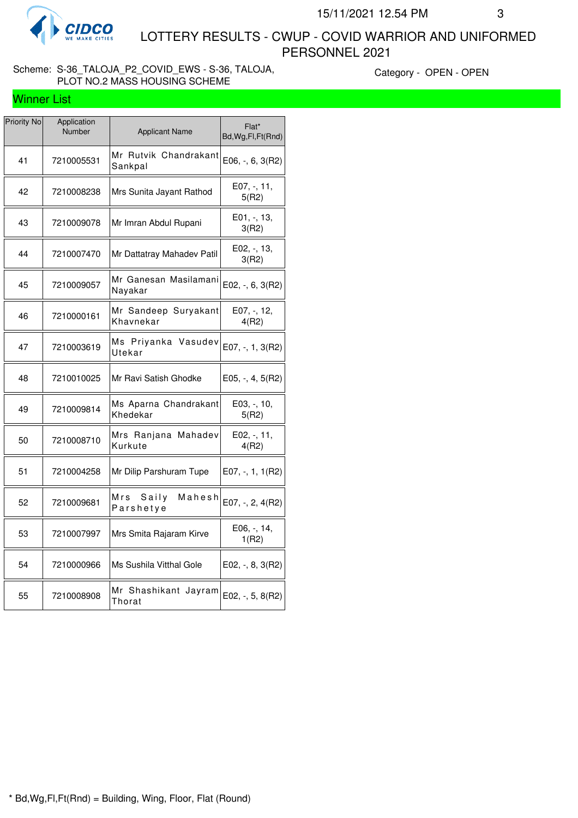

Winner List

 LOTTERY RESULTS - CWUP - COVID WARRIOR AND UNIFORMED PERSONNEL 2021

#### Scheme: S-36\_TALOJA\_P2\_COVID\_EWS - S-36, TALOJA, PLOT NO.2 MASS HOUSING SCHEME

Category - OPEN - OPEN

| <b>Priority No</b> | Application<br>Number | <b>Applicant Name</b>               | Flat*<br>Bd, Wg, Fl, Ft (Rnd) |
|--------------------|-----------------------|-------------------------------------|-------------------------------|
| 41                 | 7210005531            | Mr Rutvik Chandrakant<br>Sankpal    | E06, -, 6, 3(R2)              |
| 42                 | 7210008238            | Mrs Sunita Jayant Rathod            | E07, -, 11,<br>5(R2)          |
| 43                 | 7210009078            | Mr Imran Abdul Rupani               | E01, -, 13,<br>3(R2)          |
| 44                 | 7210007470            | Mr Dattatray Mahadev Patil          | E02, -, 13,<br>3(R2)          |
| 45                 | 7210009057            | Mr Ganesan Masilamani<br>Nayakar    | $E02, -, 6, 3(R2)$            |
| 46                 | 7210000161            | Mr Sandeep Suryakant<br>Khavnekar   | E07, -, 12,<br>4(R2)          |
| 47                 | 7210003619            | Ms Priyanka Vasudev<br>Utekar       | $E07, -1, 3(R2)$              |
| 48                 | 7210010025            | Mr Ravi Satish Ghodke               | $E05, -, 4, 5(R2)$            |
| 49                 | 7210009814            | Ms Aparna Chandrakant<br>Khedekar   | E03, -, 10,<br>5(R2)          |
| 50                 | 7210008710            | Mrs Ranjana Mahadev<br>Kurkute      | E02, -, 11,<br>4(R2)          |
| 51                 | 7210004258            | Mr Dilip Parshuram Tupe             | $E07, -1, 1(R2)$              |
| 52                 | 7210009681            | Saily<br>Mahesh<br>Mrs<br>Parshetye | E07, -, 2, 4(R2)              |
| 53                 | 7210007997            | Mrs Smita Rajaram Kirve             | E06, -, 14,<br>1(R2)          |
| 54                 | 7210000966            | Ms Sushila Vitthal Gole             | E02, -, 8, 3(R2)              |
| 55                 | 7210008908            | Mr Shashikant Jayram<br>Thorat      | E02, -, 5, 8(R2)              |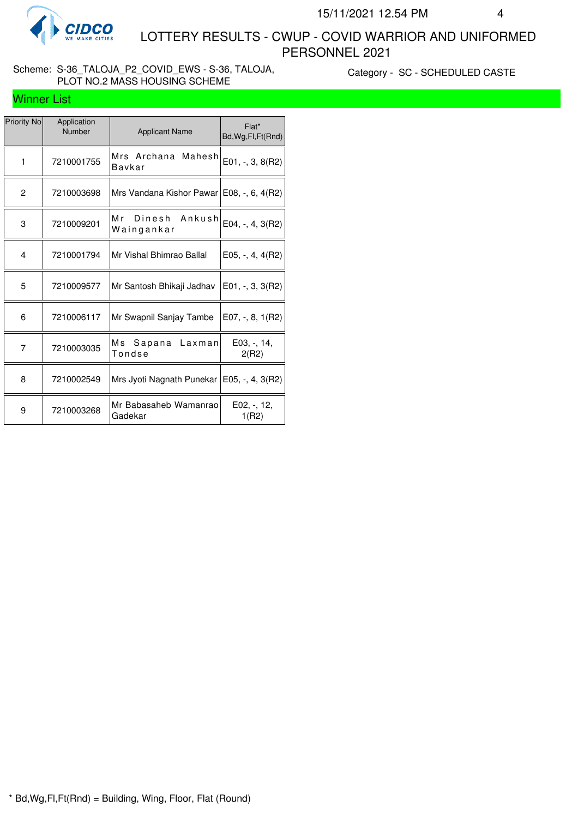

 LOTTERY RESULTS - CWUP - COVID WARRIOR AND UNIFORMED PERSONNEL 2021

#### Scheme: S-36\_TALOJA\_P2\_COVID\_EWS - S-36, TALOJA, PLOT NO.2 MASS HOUSING SCHEME

Category - SC - SCHEDULED CASTE

# Winner List

| Priority No | Application<br>Number | <b>Applicant Name</b>                        | Flat*<br>Bd, Wg, Fl, Ft (Rnd) |
|-------------|-----------------------|----------------------------------------------|-------------------------------|
| 1           | 7210001755            | Mrs Archana Mahesh<br>Bavkar                 | $E01, -3, 8(R2)$              |
| 2           | 7210003698            | Mrs Vandana Kishor Pawar   E08, -, 6, 4(R2)  |                               |
| 3           | 7210009201            | Mr Dinesh Ankush<br>Waingankar               | E04, -, 4, $3(R2)$            |
| 4           | 7210001794            | Mr Vishal Bhimrao Ballal                     | E05, $-$ , 4, 4(R2)           |
| 5           | 7210009577            | Mr Santosh Bhikaji Jadhav                    | $E01, -3, 3(R2)$              |
| 6           | 7210006117            | Mr Swapnil Sanjay Tambe                      | E07, $-$ , 8, 1(R2)           |
| 7           | 7210003035            | Ms Sapana Laxman<br>Tondse                   | E03, -, 14,<br>2(R2)          |
| 8           | 7210002549            | Mrs Jyoti Nagnath Punekar   E05, -, 4, 3(R2) |                               |
| 9           | 7210003268            | Mr Babasaheb Wamanrao<br>Gadekar             | $E02, -12,$<br>1(R2)          |